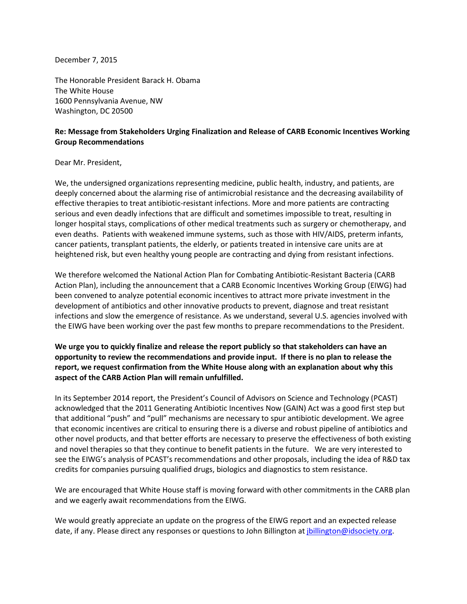December 7, 2015

The Honorable President Barack H. Obama The White House 1600 Pennsylvania Avenue, NW Washington, DC 20500

## **Re: Message from Stakeholders Urging Finalization and Release of CARB Economic Incentives Working Group Recommendations**

## Dear Mr. President,

We, the undersigned organizations representing medicine, public health, industry, and patients, are deeply concerned about the alarming rise of antimicrobial resistance and the decreasing availability of effective therapies to treat antibiotic-resistant infections. More and more patients are contracting serious and even deadly infections that are difficult and sometimes impossible to treat, resulting in longer hospital stays, complications of other medical treatments such as surgery or chemotherapy, and even deaths. Patients with weakened immune systems, such as those with HIV/AIDS, preterm infants, cancer patients, transplant patients, the elderly, or patients treated in intensive care units are at heightened risk, but even healthy young people are contracting and dying from resistant infections.

We therefore welcomed the National Action Plan for Combating Antibiotic-Resistant Bacteria (CARB Action Plan), including the announcement that a CARB Economic Incentives Working Group (EIWG) had been convened to analyze potential economic incentives to attract more private investment in the development of antibiotics and other innovative products to prevent, diagnose and treat resistant infections and slow the emergence of resistance. As we understand, several U.S. agencies involved with the EIWG have been working over the past few months to prepare recommendations to the President.

## **We urge you to quickly finalize and release the report publicly so that stakeholders can have an opportunity to review the recommendations and provide input. If there is no plan to release the report, we request confirmation from the White House along with an explanation about why this aspect of the CARB Action Plan will remain unfulfilled.**

In its September 2014 report, the President's Council of Advisors on Science and Technology (PCAST) acknowledged that the 2011 Generating Antibiotic Incentives Now (GAIN) Act was a good first step but that additional "push" and "pull" mechanisms are necessary to spur antibiotic development. We agree that economic incentives are critical to ensuring there is a diverse and robust pipeline of antibiotics and other novel products, and that better efforts are necessary to preserve the effectiveness of both existing and novel therapies so that they continue to benefit patients in the future. We are very interested to see the EIWG's analysis of PCAST's recommendations and other proposals, including the idea of R&D tax credits for companies pursuing qualified drugs, biologics and diagnostics to stem resistance.

We are encouraged that White House staff is moving forward with other commitments in the CARB plan and we eagerly await recommendations from the EIWG.

We would greatly appreciate an update on the progress of the EIWG report and an expected release date, if any. Please direct any responses or questions to John Billington at [jbillington@idsociety.org.](mailto:jbillington@idsociety.org)